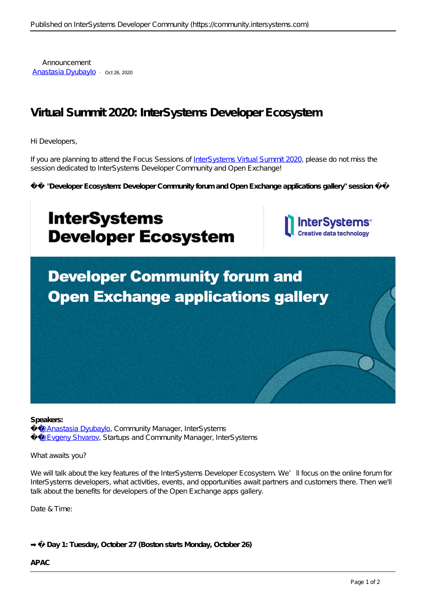Announcement [Anastasia Dyubaylo](https://community.intersystems.com/user/anastasia-dyubaylo) · Oct 26, 2020

# **Virtual Summit 2020: InterSystems Developer Ecosystem**

Hi Developers,

If you are planning to attend the Focus Sessions of [InterSystems Virtual Summit 2020,](https://www.intersystems.com/virtual-summit-2020/) please do not miss the session dedicated to InterSystems Developer Community and Open Exchange!

*⚡️ "Developer Ecosystem: Developer Community forum and Open Exchange applications gallery" session ⚡️*



#### **Speakers:**

 [@Anastasia Dyubaylo,](https://community.intersystems.com/user/anastasia-dyubaylo) Community Manager, InterSystems  [@Evgeny Shvarov](https://community.intersystems.com/user/evgeny-shvarov), Startups and Community Manager, InterSystems

What awaits you?

We will talk about the key features of the InterSystems Developer Ecosystem. We'll focus on the online forum for InterSystems developers, what activities, events, and opportunities await partners and customers there. Then we'll talk about the benefits for developers of the Open Exchange apps gallery.

Date & Time:

**➡️ Day 1: Tuesday, October 27 (Boston starts Monday, October 26)**

## **APAC**